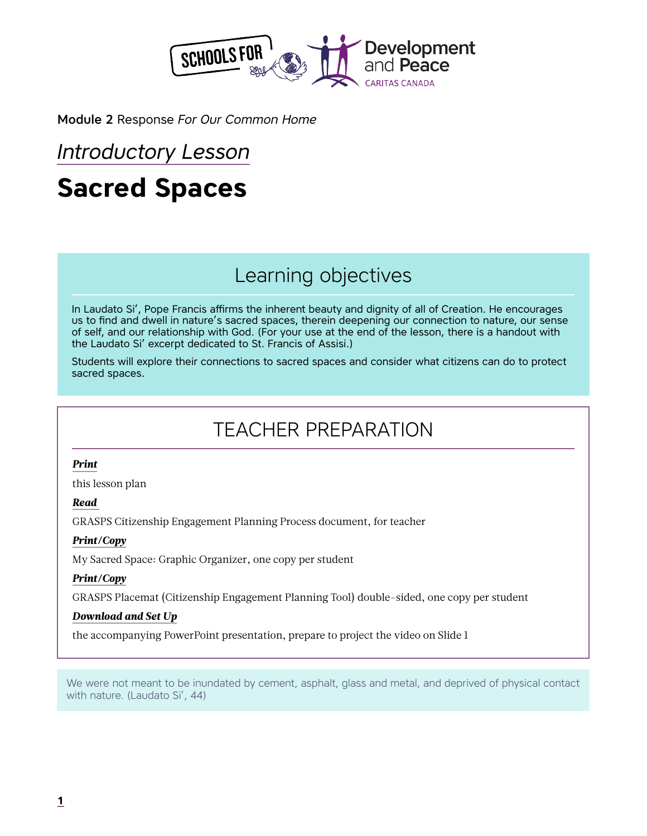

Module 2 Response *For Our Common Home*

# *Introductory Lesson*

# **Sacred Spaces**

# Learning objectives

In Laudato Si', Pope Francis affirms the inherent beauty and dignity of all of Creation. He encourages us to find and dwell in nature's sacred spaces, therein deepening our connection to nature, our sense of self, and our relationship with God. (For your use at the end of the lesson, there is a handout with the Laudato Si' excerpt dedicated to St. Francis of Assisi.)

Students will explore their connections to sacred spaces and consider what citizens can do to protect sacred spaces.

# TEACHER PREPARATION

### *Print*

this lesson plan

### *Read*

GRASPS Citizenship Engagement Planning Process document, for teacher

### *Print/Copy*

My Sacred Space: Graphic Organizer, one copy per student

### *Print/Copy*

GRASPS Placemat (Citizenship Engagement Planning Tool) double-sided, one copy per student

### *Download and Set Up*

the accompanying PowerPoint presentation, prepare to project the video on Slide 1

We were not meant to be inundated by cement, asphalt, glass and metal, and deprived of physical contact with nature. (Laudato Si', 44)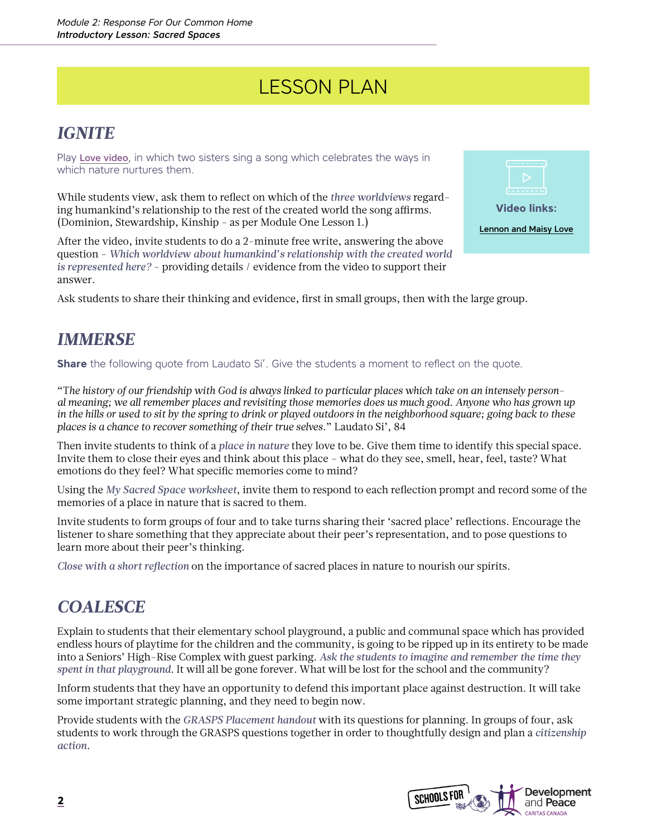# LESSON PLAN

## *IGNITE*

Play [Love video](https://www.youtube.com/watch?v=6QSZVA1HTqE), in which two sisters sing a song which celebrates the ways in which nature nurtures them.

While students view, ask them to reflect on which of the *three worldviews* regarding humankind's relationship to the rest of the created world the song affirms. (Dominion, Stewardship, Kinship - as per Module One Lesson 1.)

After the video, invite students to do a 2-minute free write, answering the above question - *Which worldview about humankind's relationship with the created world is represented here?* - providing details / evidence from the video to support their answer.

Ask students to share their thinking and evidence, first in small groups, then with the large group.

### *IMMERSE*

**Share** the following quote from Laudato Si'. Give the students a moment to reflect on the quote.

"T*he history of our friendship with God is always linked to particular places which take on an intensely personal meaning; we all remember places and revisiting those memories does us much good. Anyone who has grown up in the hills or used to sit by the spring to drink or played outdoors in the neighborhood square; going back to these places is a chance to recover something of their true selves.*" Laudato Si', 84

Then invite students to think of a *place in nature* they love to be. Give them time to identify this special space. Invite them to close their eyes and think about this place – what do they see, smell, hear, feel, taste? What emotions do they feel? What specific memories come to mind?

Using the *My Sacred Space worksheet*, invite them to respond to each reflection prompt and record some of the memories of a place in nature that is sacred to them.

Invite students to form groups of four and to take turns sharing their 'sacred place' reflections. Encourage the listener to share something that they appreciate about their peer's representation, and to pose questions to learn more about their peer's thinking.

*Close with a short reflection* on the importance of sacred places in nature to nourish our spirits.

## *COALESCE*

Explain to students that their elementary school playground, a public and communal space which has provided endless hours of playtime for the children and the community, is going to be ripped up in its entirety to be made into a Seniors' High-Rise Complex with guest parking. *Ask the students to imagine and remember the time they spent in that playground*. It will all be gone forever. What will be lost for the school and the community?

Inform students that they have an opportunity to defend this important place against destruction. It will take some important strategic planning, and they need to begin now.

Provide students with the *GRASPS Placement handout* with its questions for planning. In groups of four, ask students to work through the GRASPS questions together in order to thoughtfully design and plan a *citizenship action*.



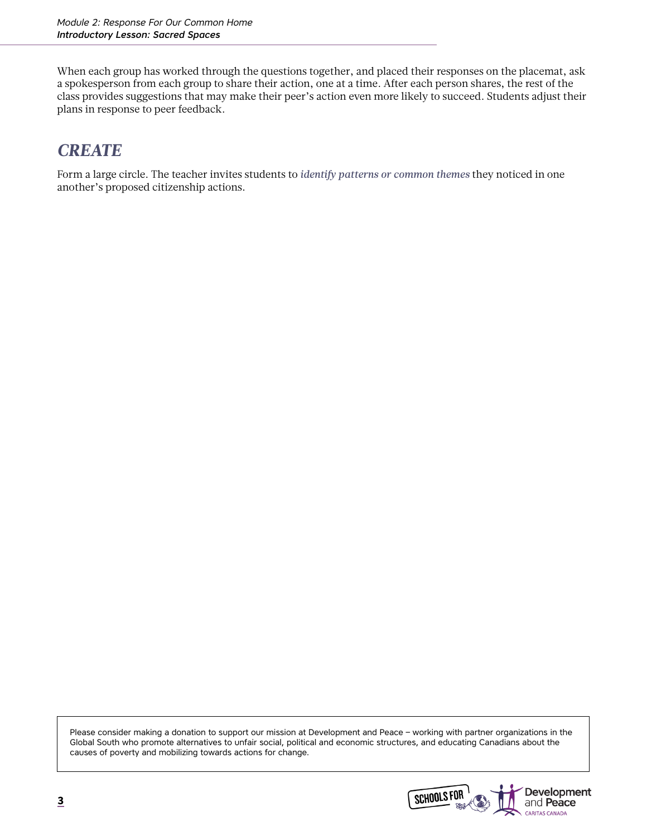When each group has worked through the questions together, and placed their responses on the placemat, ask a spokesperson from each group to share their action, one at a time. After each person shares, the rest of the class provides suggestions that may make their peer's action even more likely to succeed. Students adjust their plans in response to peer feedback.

## *CREATE*

Form a large circle. The teacher invites students to *identify patterns or common themes* they noticed in one another's proposed citizenship actions.

Please consider making a donation to support our mission at Development and Peace – working with partner organizations in the Global South who promote alternatives to unfair social, political and economic structures, and educating Canadians about the causes of poverty and mobilizing towards actions for change.

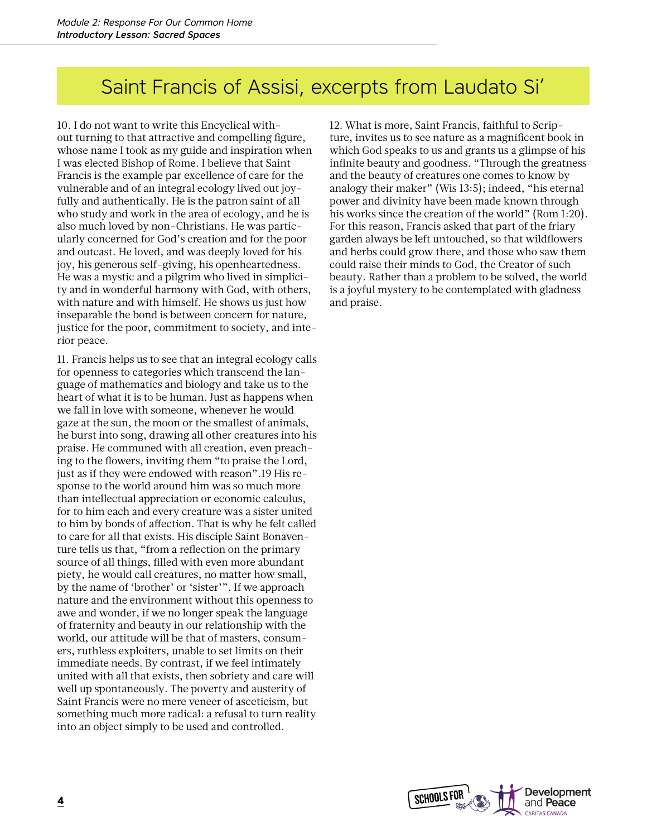## Saint Francis of Assisi, excerpts from Laudato Si'

10. I do not want to write this Encyclical without turning to that attractive and compelling figure, whose name I took as my guide and inspiration when I was elected Bishop of Rome. I believe that Saint Francis is the example par excellence of care for the vulnerable and of an integral ecology lived out joyfully and authentically. He is the patron saint of all who study and work in the area of ecology, and he is also much loved by non-Christians. He was particularly concerned for God's creation and for the poor and outcast. He loved, and was deeply loved for his joy, his generous self-giving, his openheartedness. He was a mystic and a pilgrim who lived in simplicity and in wonderful harmony with God, with others, with nature and with himself. He shows us just how inseparable the bond is between concern for nature, justice for the poor, commitment to society, and interior peace.

11. Francis helps us to see that an integral ecology calls for openness to categories which transcend the language of mathematics and biology and take us to the heart of what it is to be human. Just as happens when we fall in love with someone, whenever he would gaze at the sun, the moon or the smallest of animals, he burst into song, drawing all other creatures into his praise. He communed with all creation, even preaching to the flowers, inviting them "to praise the Lord, just as if they were endowed with reason".19 His response to the world around him was so much more than intellectual appreciation or economic calculus, for to him each and every creature was a sister united to him by bonds of affection. That is why he felt called to care for all that exists. His disciple Saint Bonaventure tells us that, "from a reflection on the primary source of all things, filled with even more abundant piety, he would call creatures, no matter how small, by the name of 'brother' or 'sister'". If we approach nature and the environment without this openness to awe and wonder, if we no longer speak the language of fraternity and beauty in our relationship with the world, our attitude will be that of masters, consumers, ruthless exploiters, unable to set limits on their immediate needs. By contrast, if we feel intimately united with all that exists, then sobriety and care will well up spontaneously. The poverty and austerity of Saint Francis were no mere veneer of asceticism, but something much more radical: a refusal to turn reality into an object simply to be used and controlled.

12. What is more, Saint Francis, faithful to Scripture, invites us to see nature as a magnificent book in which God speaks to us and grants us a glimpse of his infinite beauty and goodness. "Through the greatness and the beauty of creatures one comes to know by analogy their maker" (Wis 13:5); indeed, "his eternal power and divinity have been made known through his works since the creation of the world" (Rom 1:20). For this reason, Francis asked that part of the friary garden always be left untouched, so that wildflowers and herbs could grow there, and those who saw them could raise their minds to God, the Creator of such beauty. Rather than a problem to be solved, the world is a joyful mystery to be contemplated with gladness and praise.

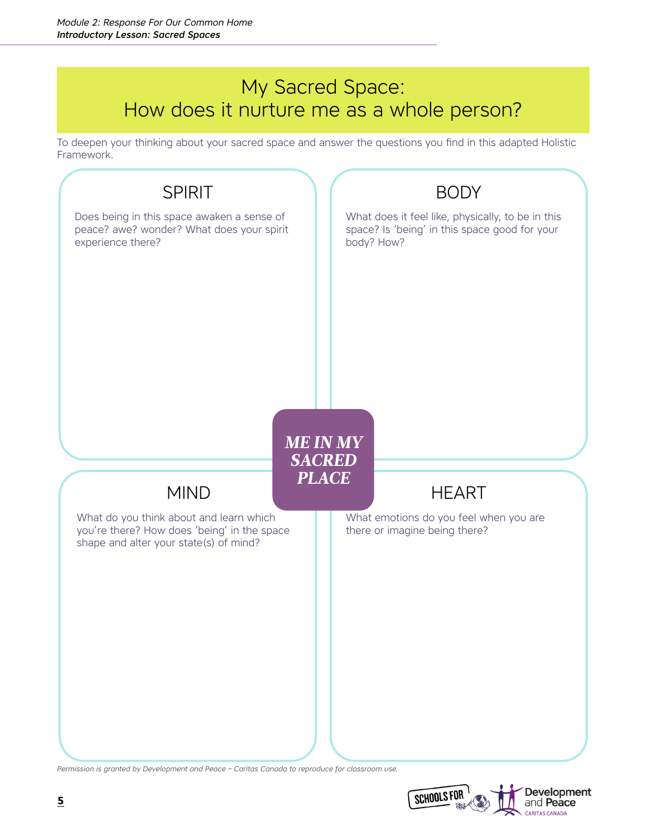# My Sacred Space: How does it nurture me as a whole person?

To deepen your thinking about your sacred space and answer the questions you find in this adapted Holistic Framework.



*Permission is granted by Development and Peace – Caritas Canada to reproduce for classroom use.*

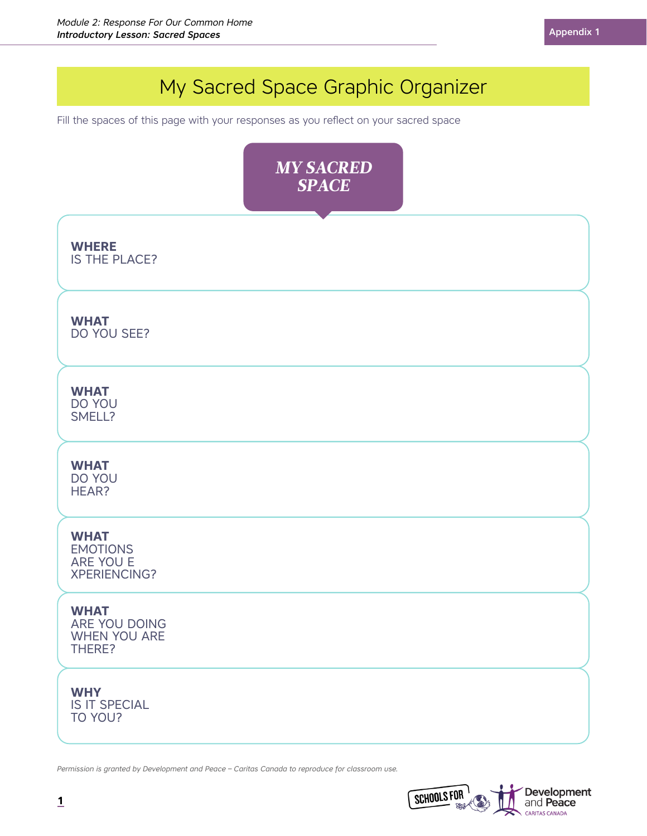# My Sacred Space Graphic Organizer **WHERE** IS THE PLACE? **WHAT** DO YOU SEE? **WHY** IS IT SPECIAL TO YOU? **WHAT** DO YOU SMELL? **WHAT** ARE YOU DOING WHEN YOU ARE THERE? **WHAT** EMOTIONS ARE YOU E XPERIENCING? **WHAT** DO YOU HEAR? *MY SACRED SPACE* Fill the spaces of this page with your responses as you reflect on your sacred space

*Permission is granted by Development and Peace – Caritas Canada to reproduce for classroom use.*

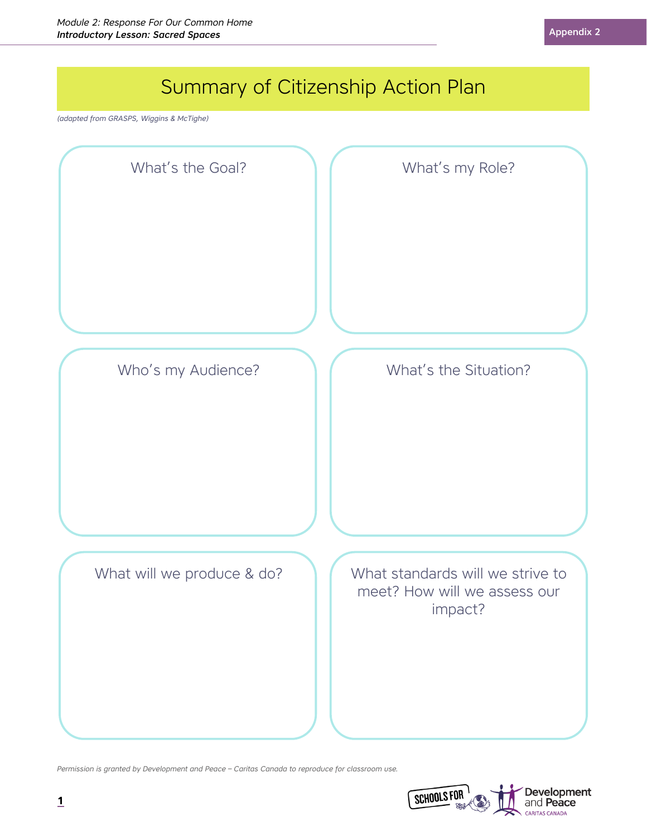

*Permission is granted by Development and Peace – Caritas Canada to reproduce for classroom use.*